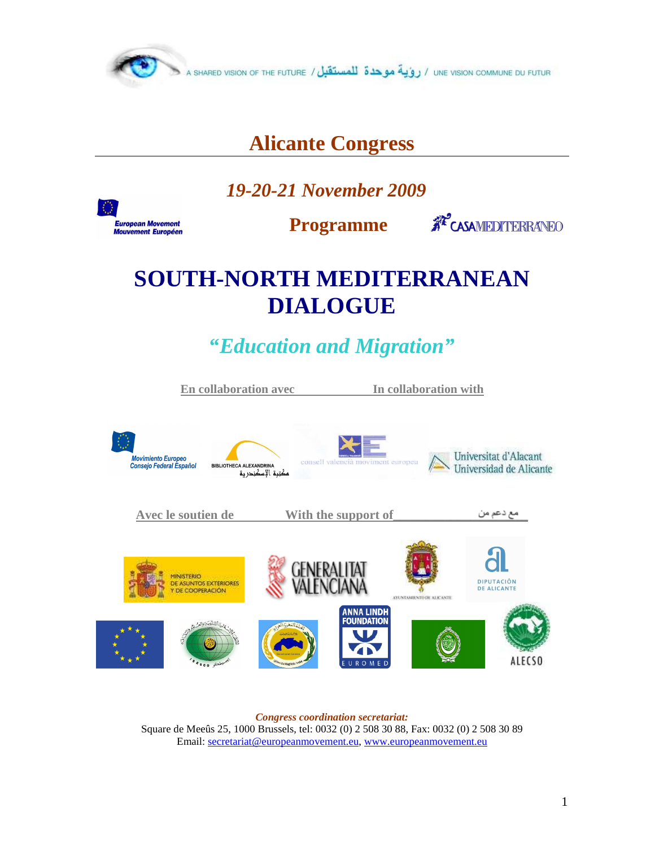

## **Alicante Congress**

 *19-20-21 November 2009* 

**European Movement Mouvement Européen** 

 **Programme** 

**AP CASAMEDITERRANEO** 

# **SOUTH-NORTH MEDITERRANEAN DIALOGUE**

*"Education and Migration"* 



*Congress coordination secretariat:*  Square de Meeûs 25, 1000 Brussels, tel: 0032 (0) 2 508 30 88, Fax: 0032 (0) 2 508 30 89 Email: secretariat@europeanmovement.eu, www.europeanmovement.eu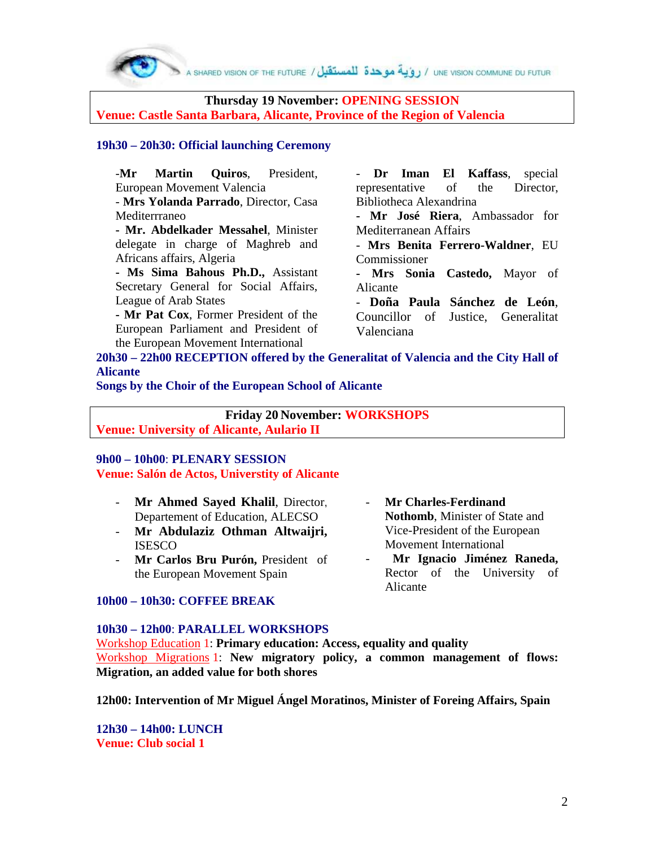**Thursday 19 November: OPENING SESSION Venue: Castle Santa Barbara, Alicante, Province of the Region of Valencia** 

#### **19h30 – 20h30: Official launching Ceremony**

-**Mr Martin Quiros**, President, European Movement Valencia

- **Mrs Yolanda Parrado**, Director, Casa Mediterrraneo

**- Mr. Abdelkader Messahel**, Minister delegate in charge of Maghreb and Africans affairs, Algeria

**- Ms Sima Bahous Ph.D.,** Assistant Secretary General for Social Affairs, League of Arab States

**- Mr Pat Cox**, Former President of the European Parliament and President of the European Movement International

Dr Iman El Kaffass, special representative of the Director, Bibliotheca Alexandrina

**- Mr José Riera**, Ambassador for Mediterranean Affairs

- **Mrs Benita Ferrero-Waldner**, EU Commissioner

**- Mrs Sonia Castedo,** Mayor of Alicante

- **Doña Paula Sánchez de León**, Councillor of Justice, Generalitat Valenciana

**20h30 – 22h00 RECEPTION offered by the Generalitat of Valencia and the City Hall of Alicante** 

**Songs by the Choir of the European School of Alicante** 

**Friday 20 November: WORKSHOPS Venue: University of Alicante, Aulario II** 

## **9h00 – 10h00**: **PLENARY SESSION Venue: Salón de Actos, Universtity of Alicante**

- **Mr Ahmed Sayed Khalil**, Director, Departement of Education, ALECSO
- **Mr Abdulaziz Othman Altwaijri,** ISESCO
- **Mr Carlos Bru Purón,** President of the European Movement Spain

#### **10h00 – 10h30: COFFEE BREAK**

#### **10h30 – 12h00**: **PARALLEL WORKSHOPS**

Workshop Education 1: **Primary education: Access, equality and quality**  Workshop Migrations 1: **New migratory policy, a common management of flows: Migration, an added value for both shores** 

**12h00: Intervention of Mr Miguel Ángel Moratinos, Minister of Foreing Affairs, Spain** 

**12h30 – 14h00: LUNCH Venue: Club social 1** 

- **Mr Charles-Ferdinand Nothomb**, Minister of State and Vice-President of the European Movement International

- **Mr Ignacio Jiménez Raneda,**  Rector of the University of Alicante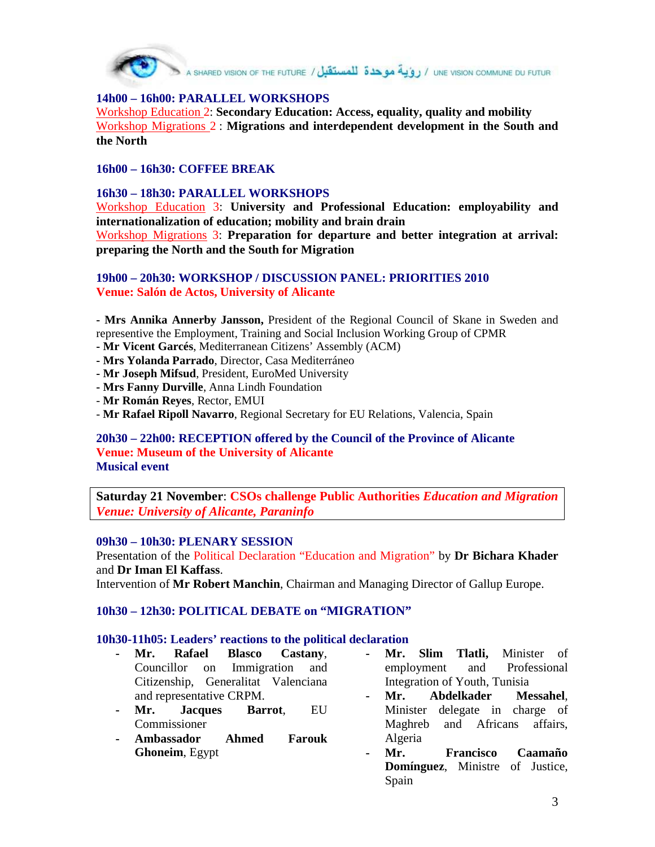

UNE VISION COMMUNE DU FUTUR / روية موحدة للمستقبل / A SHARED VISION OF THE FUTURE /

## **14h00 – 16h00: PARALLEL WORKSHOPS**

Workshop Education 2: **Secondary Education: Access, equality, quality and mobility**  Workshop Migrations 2 : **Migrations and interdependent development in the South and the North**

#### **16h00 – 16h30: COFFEE BREAK**

#### **16h30 – 18h30: PARALLEL WORKSHOPS**

Workshop Education 3: **University and Professional Education: employability and internationalization of education; mobility and brain drain** Workshop Migrations 3: **Preparation for departure and better integration at arrival: preparing the North and the South for Migration**

#### **19h00 – 20h30: WORKSHOP / DISCUSSION PANEL: PRIORITIES 2010 Venue: Salón de Actos, University of Alicante**

**- Mrs Annika Annerby Jansson,** President of the Regional Council of Skane in Sweden and representive the Employment, Training and Social Inclusion Working Group of CPMR

- **Mr Vicent Garcés**, Mediterranean Citizens' Assembly (ACM)
- **Mrs Yolanda Parrado**, Director, Casa Mediterráneo
- **Mr Joseph Mifsud**, President, EuroMed University
- **Mrs Fanny Durville**, Anna Lindh Foundation
- **Mr Román Reyes**, Rector, EMUI
- **Mr Rafael Ripoll Navarro**, Regional Secretary for EU Relations, Valencia, Spain

#### **20h30 – 22h00: RECEPTION offered by the Council of the Province of Alicante Venue: Museum of the University of Alicante Musical event**

**Saturday 21 November**: **CSOs challenge Public Authorities** *Education and Migration Venue: University of Alicante, Paraninfo*

#### **09h30 – 10h30: PLENARY SESSION**

Presentation of the Political Declaration "Education and Migration" by **Dr Bichara Khader** and **Dr Iman El Kaffass**.

Intervention of **Mr Robert Manchin**, Chairman and Managing Director of Gallup Europe.

#### **10h30 – 12h30: POLITICAL DEBATE on "MIGRATION"**

#### **10h30-11h05: Leaders' reactions to the political declaration**

- **- Mr. Rafael Blasco Castany**, Councillor on Immigration and Citizenship, Generalitat Valenciana and representative CRPM.
- **- Mr. Jacques Barrot**, EU Commissioner
- **- Ambassador Ahmed Farouk Ghoneim**, Egypt
- **- Mr. Slim Tlatli,** Minister of employment and Professional Integration of Youth, Tunisia
- **- Mr. Abdelkader Messahel**, Minister delegate in charge of Maghreb and Africans affairs, Algeria
- **- Mr. Francisco Caamaño Domínguez**, Ministre of Justice, Spain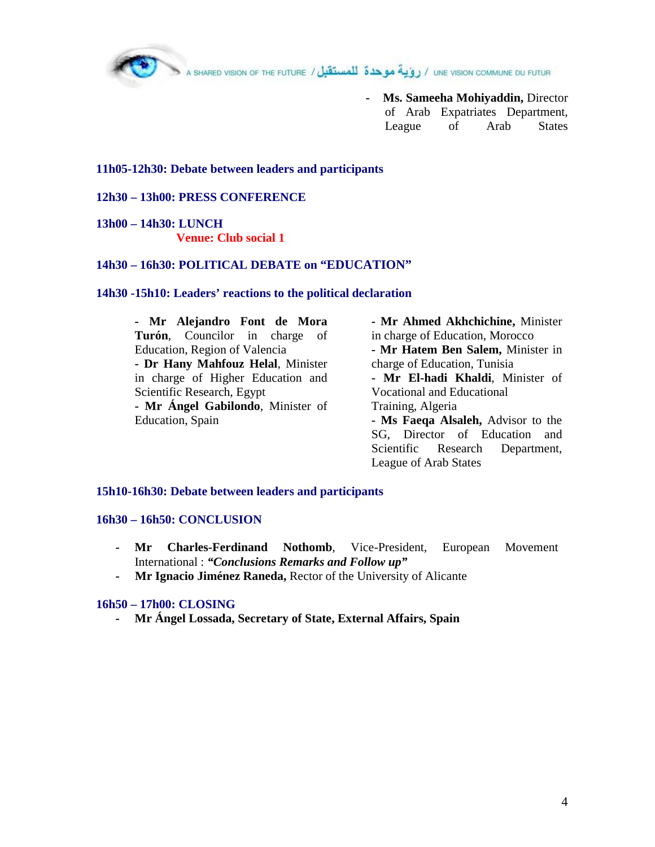**- Ms. Sameeha Mohiyaddin,** Director of Arab Expatriates Department, League of Arab States

#### **11h05-12h30: Debate between leaders and participants**

#### **12h30 – 13h00: PRESS CONFERENCE**

**13h00 – 14h30: LUNCH Venue: Club social 1** 

#### **14h30 – 16h30: POLITICAL DEBATE on "EDUCATION"**

#### **14h30 -15h10: Leaders' reactions to the political declaration**

**- Mr Alejandro Font de Mora Turón**, Councilor in charge of Education, Region of Valencia **- Dr Hany Mahfouz Helal**, Minister in charge of Higher Education and Scientific Research, Egypt **- Mr Ángel Gabilondo**, Minister of Education, Spain **- Mr Ahmed Akhchichine,** Minister in charge of Education, Morocco **- Mr Hatem Ben Salem,** Minister in charge of Education, Tunisia **- Mr El-hadi Khaldi**, Minister of Vocational and Educational Training, Algeria **- Ms Faeqa Alsaleh,** Advisor to the SG, Director of Education and Scientific Research Department,

League of Arab States

#### **15h10-16h30: Debate between leaders and participants**

#### **16h30 – 16h50: CONCLUSION**

- **- Mr Charles-Ferdinand Nothomb**, Vice-President, European Movement International : *"Conclusions Remarks and Follow up"*
- **Mr Ignacio Jiménez Raneda,** Rector of the University of Alicante

#### **16h50 – 17h00: CLOSING**

**- Mr Ángel Lossada, Secretary of State, External Affairs, Spain**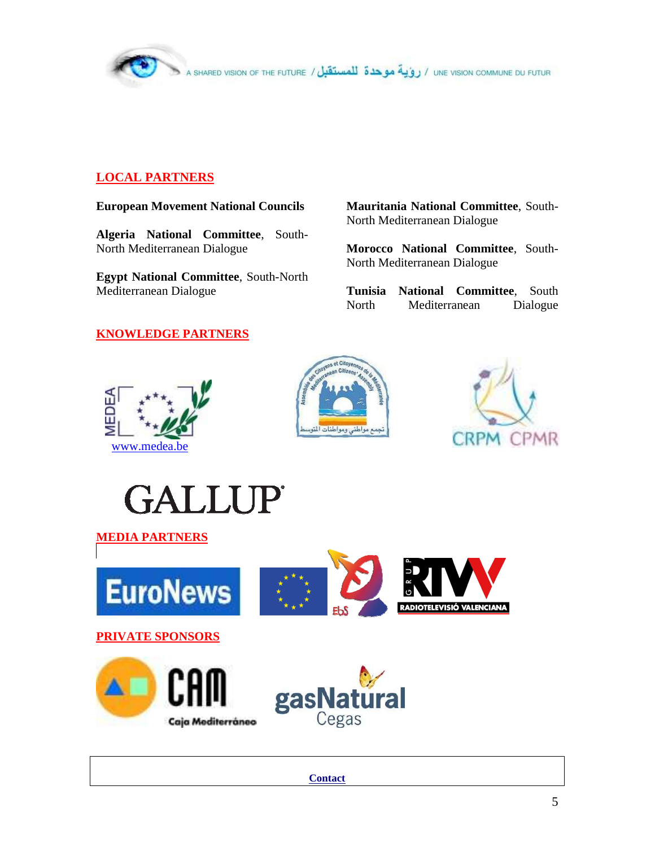

## **LOCAL PARTNERS**

#### **European Movement National Councils**

**Algeria National Committee**, South-North Mediterranean Dialogue

**Egypt National Committee**, South-North Mediterranean Dialogue

**Mauritania National Committee**, South-North Mediterranean Dialogue

**Morocco National Committee**, South-North Mediterranean Dialogue

**Tunisia National Committee**, South North Mediterranean Dialogue

## **KNOWLEDGE PARTNERS**